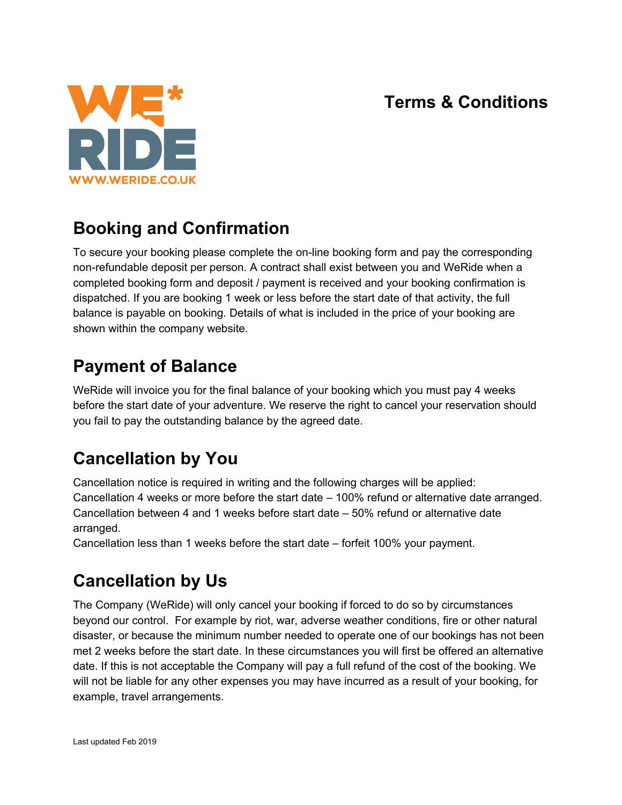#### **Terms & Conditions**



## **Booking and Confirmation**

To secure your booking please complete the on-line booking form and pay the corresponding non-refundable deposit per person. A contract shall exist between you and WeRide when a completed booking form and deposit / payment is received and your booking confirmation is dispatched. If you are booking 1 week or less before the start date of that activity, the full balance is payable on booking. Details of what is included in the price of your booking are shown within the company website.

## **Payment of Balance**

WeRide will invoice you for the final balance of your booking which you must pay 4 weeks before the start date of your adventure. We reserve the right to cancel your reservation should you fail to pay the outstanding balance by the agreed date.

# **Cancellation by You**

Cancellation notice is required in writing and the following charges will be applied: Cancellation 4 weeks or more before the start date – 100% refund or alternative date arranged. Cancellation between 4 and 1 weeks before start date – 50% refund or alternative date arranged.

Cancellation less than 1 weeks before the start date – forfeit 100% your payment.

## **Cancellation by Us**

The Company (WeRide) will only cancel your booking if forced to do so by circumstances beyond our control. For example by riot, war, adverse weather conditions, fire or other natural disaster, or because the minimum number needed to operate one of our bookings has not been met 2 weeks before the start date. In these circumstances you will first be offered an alternative date. If this is not acceptable the Company will pay a full refund of the cost of the booking. We will not be liable for any other expenses you may have incurred as a result of your booking, for example, travel arrangements.